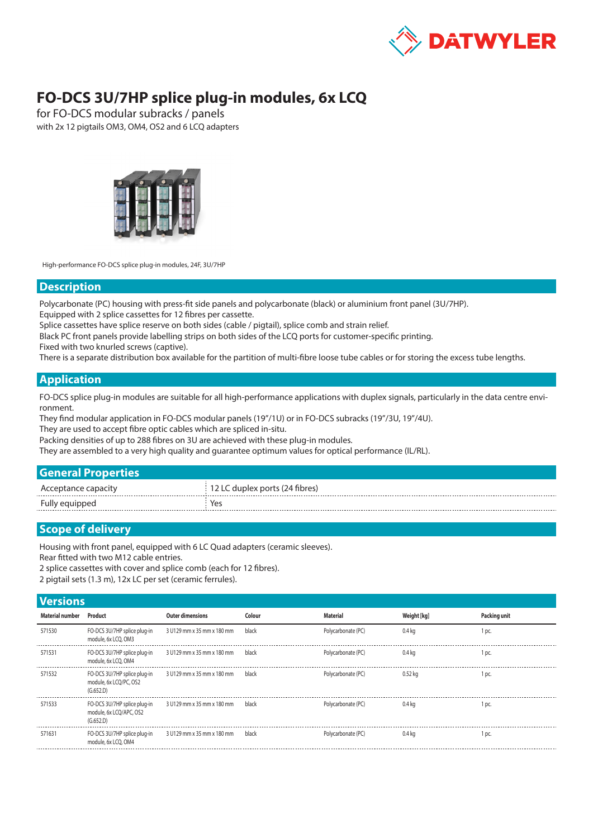

## **FO-DCS 3U/7HP splice plug-in modules, 6x LCQ**

for FO-DCS modular subracks / panels with 2x 12 pigtails OM3, OM4, OS2 and 6 LCQ adapters



High-performance FO-DCS splice plug-in modules, 24F, 3U/7HP

## **Description**

Polycarbonate (PC) housing with press-fit side panels and polycarbonate (black) or aluminium front panel (3U/7HP).

Equipped with 2 splice cassettes for 12 fibres per cassette.

Splice cassettes have splice reserve on both sides (cable / pigtail), splice comb and strain relief.

Black PC front panels provide labelling strips on both sides of the LCQ ports for customer-specific printing.

Fixed with two knurled screws (captive).

There is a separate distribution box available for the partition of multi-fibre loose tube cables or for storing the excess tube lengths.

## **Application**

FO-DCS splice plug-in modules are suitable for all high-performance applications with duplex signals, particularly in the data centre environment.

They find modular application in FO-DCS modular panels (19"/1U) or in FO-DCS subracks (19"/3U, 19"/4U).

They are used to accept fibre optic cables which are spliced in-situ.

Packing densities of up to 288 fibres on 3U are achieved with these plug-in modules.

They are assembled to a very high quality and guarantee optimum values for optical performance (IL/RL).

| <b>General Properties</b> |
|---------------------------|
|                           |

|          | האימי אמו ודא∖ מ<br>$     -$ |
|----------|------------------------------|
| Fully ec |                              |

## **Scope of delivery**

Housing with front panel, equipped with 6 LC Quad adapters (ceramic sleeves).

Rear fitted with two M12 cable entries.

2 splice cassettes with cover and splice comb (each for 12 fibres).

2 pigtail sets (1.3 m), 12x LC per set (ceramic ferrules).

|  | <b>Versions</b> |
|--|-----------------|
|  |                 |

| <b>VEISIVIIS</b>       |                                                                      |                            |        |                    |                   |              |
|------------------------|----------------------------------------------------------------------|----------------------------|--------|--------------------|-------------------|--------------|
| <b>Material number</b> | Product                                                              | <b>Outer dimensions</b>    | Colour | <b>Material</b>    | Weight [kg]       | Packing unit |
| 571530                 | FO-DCS 3U/7HP splice plug-in<br>module, 6x LCQ, OM3                  | 3 U129 mm x 35 mm x 180 mm | black  | Polycarbonate (PC) | 0.4 <sub>kq</sub> | 1 pc.        |
| 571531                 | FO-DCS 3U/7HP splice plug-in<br>module, 6x LCO, OM4                  | 3 U129 mm x 35 mm x 180 mm | black  | Polycarbonate (PC) | 0.4 ka            | 1 pc.        |
| 571532                 | FO-DCS 3U/7HP splice plug-in<br>module, 6x LCO/PC, OS2<br>(G.652.D)  | 3 U129 mm x 35 mm x 180 mm | black  | Polycarbonate (PC) | 0.52 ka           | 1 pc.        |
| 571533                 | FO-DCS 3U/7HP splice plug-in<br>module, 6x LCO/APC, OS2<br>(G.652.D) | 3 U129 mm x 35 mm x 180 mm | black  | Polycarbonate (PC) | 0.4 ka            | 1 pc.        |
| 571631                 | FO-DCS 3U/7HP splice plug-in<br>module, 6x LCO, OM4                  | 3 U129 mm x 35 mm x 180 mm | black  | Polycarbonate (PC) | 0.4 ka            | 1 pc.        |